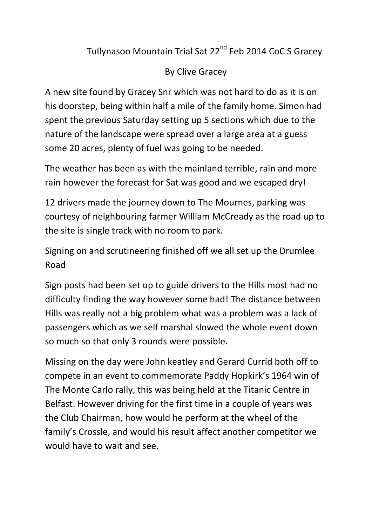## Tullynasoo Mountain Trial Sat 22<sup>nd</sup> Feb 2014 CoC S Gracey

## By Clive Gracey

A new site found by Gracey Snr which was not hard to do as it is on his doorstep, being within half a mile of the family home. Simon had spent the previous Saturday setting up 5 sections which due to the nature of the landscape were spread over a large area at a guess some 20 acres, plenty of fuel was going to be needed.

The weather has been as with the mainland terrible, rain and more rain however the forecast for Sat was good and we escaped dry!

12 drivers made the journey down to The Mournes, parking was courtesy of neighbouring farmer William McCready as the road up to the site is single track with no room to park.

Signing on and scrutineering finished off we all set up the Drumlee Road

Sign posts had been set up to guide drivers to the Hills most had no difficulty finding the way however some had! The distance between Hills was really not a big problem what was a problem was a lack of passengers which as we self marshal slowed the whole event down so much so that only 3 rounds were possible.

Missing on the day were John keatley and Gerard Currid both off to compete in an event to commemorate Paddy Hopkirk's 1964 win of The Monte Carlo rally, this was being held at the Titanic Centre in Belfast. However driving for the first time in a couple of years was the Club Chairman, how would he perform at the wheel of the family's Crossle, and would his result affect another competitor we would have to wait and see.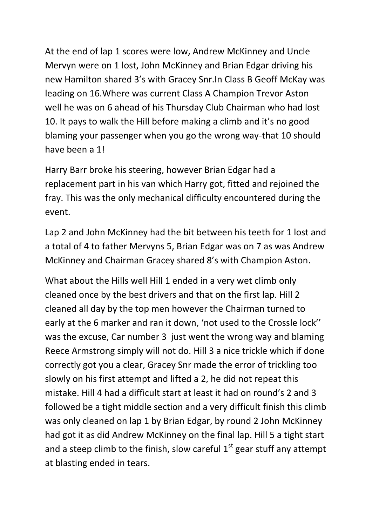At the end of lap 1 scores were low, Andrew McKinney and Uncle Mervyn were on 1 lost, John McKinney and Brian Edgar driving his new Hamilton shared 3's with Gracey Snr.In Class B Geoff McKay was leading on 16.Where was current Class A Champion Trevor Aston well he was on 6 ahead of his Thursday Club Chairman who had lost 10. It pays to walk the Hill before making a climb and it's no good blaming your passenger when you go the wrong way-that 10 should have been a 1!

Harry Barr broke his steering, however Brian Edgar had a replacement part in his van which Harry got, fitted and rejoined the fray. This was the only mechanical difficulty encountered during the event.

Lap 2 and John McKinney had the bit between his teeth for 1 lost and a total of 4 to father Mervyns 5, Brian Edgar was on 7 as was Andrew McKinney and Chairman Gracey shared 8's with Champion Aston.

What about the Hills well Hill 1 ended in a very wet climb only cleaned once by the best drivers and that on the first lap. Hill 2 cleaned all day by the top men however the Chairman turned to early at the 6 marker and ran it down, 'not used to the Crossle lock'' was the excuse, Car number 3 just went the wrong way and blaming Reece Armstrong simply will not do. Hill 3 a nice trickle which if done correctly got you a clear, Gracey Snr made the error of trickling too slowly on his first attempt and lifted a 2, he did not repeat this mistake. Hill 4 had a difficult start at least it had on round's 2 and 3 followed be a tight middle section and a very difficult finish this climb was only cleaned on lap 1 by Brian Edgar, by round 2 John McKinney had got it as did Andrew McKinney on the final lap. Hill 5 a tight start and a steep climb to the finish, slow careful  $1<sup>st</sup>$  gear stuff any attempt at blasting ended in tears.